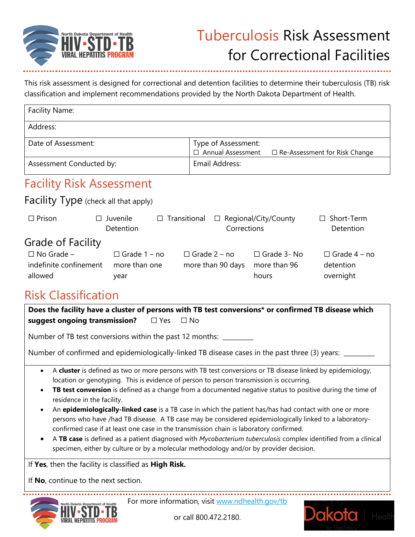

This risk assessment is designed for correctional and detention facilities to determine their tuberculosis (TB) risk classification and implement recommendations provided by the North Dakota Department of Health.

| Facility Name:                                         |                                                      |                                                 |                                             |                                               |
|--------------------------------------------------------|------------------------------------------------------|-------------------------------------------------|---------------------------------------------|-----------------------------------------------|
| Address:                                               |                                                      |                                                 |                                             |                                               |
| Date of Assessment:                                    |                                                      | Type of Assessment:<br><b>Annual Assessment</b> |                                             | $\Box$ Re-Assessment for Risk Change          |
| Assessment Conducted by:                               |                                                      | Email Address:                                  |                                             |                                               |
| <b>Facility Risk Assessment</b>                        |                                                      |                                                 |                                             |                                               |
| <b>Facility Type</b> (check all that apply)            |                                                      |                                                 |                                             |                                               |
| $\Box$ Prison                                          | Juvenile<br>Transitional<br>$\Box$<br>П<br>Detention | $\Box$<br>Corrections                           | Regional/City/County                        | Short-Term<br>П<br>Detention                  |
| <b>Grade of Facility</b>                               |                                                      |                                                 |                                             |                                               |
| $\Box$ No Grade –<br>indefinite confinement<br>allowed | $\Box$ Grade 1 – no<br>more than one<br>year         | $\Box$ Grade 2 – no<br>more than 90 days        | $\Box$ Grade 3- No<br>more than 96<br>hours | $\Box$ Grade 4 – no<br>detention<br>overnight |

#### Risk Classification

| Does the facility have a cluster of persons with TB test conversions* or confirmed TB disease which<br>suggest ongoing transmission? $\square$ Yes $\square$ No                                                                                                                                                                                                                                                                                                                                                                                                                                                                                                                                                                                                                                                                                                                                                                          |  |  |
|------------------------------------------------------------------------------------------------------------------------------------------------------------------------------------------------------------------------------------------------------------------------------------------------------------------------------------------------------------------------------------------------------------------------------------------------------------------------------------------------------------------------------------------------------------------------------------------------------------------------------------------------------------------------------------------------------------------------------------------------------------------------------------------------------------------------------------------------------------------------------------------------------------------------------------------|--|--|
| Number of TB test conversions within the past 12 months: ________                                                                                                                                                                                                                                                                                                                                                                                                                                                                                                                                                                                                                                                                                                                                                                                                                                                                        |  |  |
| Number of confirmed and epidemiologically-linked TB disease cases in the past three (3) years: ____                                                                                                                                                                                                                                                                                                                                                                                                                                                                                                                                                                                                                                                                                                                                                                                                                                      |  |  |
| A <b>cluster</b> is defined as two or more persons with TB test conversions or TB disease linked by epidemiology,<br>$\bullet$<br>location or genotyping. This is evidence of person to person transmission is occurring.<br>TB test conversion is defined as a change from a documented negative status to positive during the time of<br>$\bullet$<br>residence in the facility.<br>An epidemiologically-linked case is a TB case in which the patient has/has had contact with one or more<br>$\bullet$<br>persons who have /had TB disease. A TB case may be considered epidemiologically linked to a laboratory-<br>confirmed case if at least one case in the transmission chain is laboratory confirmed.<br>A TB case is defined as a patient diagnosed with Mycobacterium tuberculosis complex identified from a clinical<br>$\bullet$<br>specimen, either by culture or by a molecular methodology and/or by provider decision. |  |  |
| If Yes, then the facility is classified as High Risk.<br>If No, continue to the next section.                                                                                                                                                                                                                                                                                                                                                                                                                                                                                                                                                                                                                                                                                                                                                                                                                                            |  |  |
| For more information, visit www.ndhealth.gov/tb<br>North Dakota Denartment of Health                                                                                                                                                                                                                                                                                                                                                                                                                                                                                                                                                                                                                                                                                                                                                                                                                                                     |  |  |



For more information, visit [www.ndhealth.gov/tb](http://www.ndhealth.gov/tb)



or call 800.472.2180.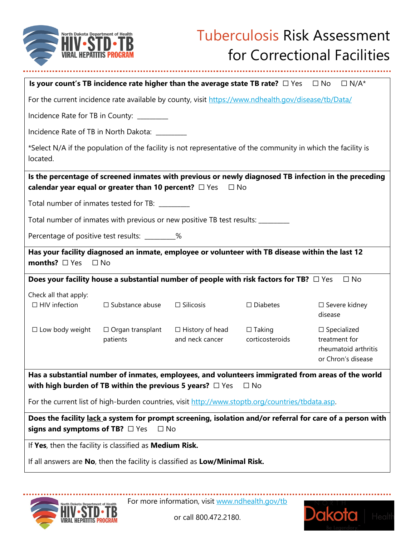

|                                                                                                                                                                                  | Is your count's TB incidence rate higher than the average state TB rate? $\Box$ Yes                 |                                           |                                  | $\Box$ No<br>$\Box N/A^*$                                                                            |
|----------------------------------------------------------------------------------------------------------------------------------------------------------------------------------|-----------------------------------------------------------------------------------------------------|-------------------------------------------|----------------------------------|------------------------------------------------------------------------------------------------------|
|                                                                                                                                                                                  | For the current incidence rate available by county, visit https://www.ndhealth.gov/disease/tb/Data/ |                                           |                                  |                                                                                                      |
| Incidence Rate for TB in County: ________                                                                                                                                        |                                                                                                     |                                           |                                  |                                                                                                      |
|                                                                                                                                                                                  | Incidence Rate of TB in North Dakota: ________                                                      |                                           |                                  |                                                                                                      |
| *Select N/A if the population of the facility is not representative of the community in which the facility is<br>located.                                                        |                                                                                                     |                                           |                                  |                                                                                                      |
|                                                                                                                                                                                  | calendar year equal or greater than 10 percent? $\Box$ Yes $\Box$ No                                |                                           |                                  | Is the percentage of screened inmates with previous or newly diagnosed TB infection in the preceding |
| Total number of inmates tested for TB: ________                                                                                                                                  |                                                                                                     |                                           |                                  |                                                                                                      |
|                                                                                                                                                                                  | Total number of inmates with previous or new positive TB test results: ________                     |                                           |                                  |                                                                                                      |
|                                                                                                                                                                                  | Percentage of positive test results: _________%                                                     |                                           |                                  |                                                                                                      |
| Has your facility diagnosed an inmate, employee or volunteer with TB disease within the last 12<br>months? $\Box$ Yes<br>$\Box$ No                                               |                                                                                                     |                                           |                                  |                                                                                                      |
|                                                                                                                                                                                  | Does your facility house a substantial number of people with risk factors for TB? $\Box$ Yes        |                                           |                                  | $\Box$ No                                                                                            |
| Check all that apply:<br>$\Box$ HIV infection                                                                                                                                    | $\Box$ Substance abuse                                                                              | $\Box$ Silicosis                          | $\Box$ Diabetes                  | $\Box$ Severe kidney<br>disease                                                                      |
| $\square$ Low body weight                                                                                                                                                        | $\Box$ Organ transplant<br>patients                                                                 | $\Box$ History of head<br>and neck cancer | $\Box$ Taking<br>corticosteroids | $\Box$ Specialized<br>treatment for<br>rheumatoid arthritis<br>or Chron's disease                    |
| Has a substantial number of inmates, employees, and volunteers immigrated from areas of the world<br>with high burden of TB within the previous 5 years? $\Box$ Yes<br>$\Box$ No |                                                                                                     |                                           |                                  |                                                                                                      |
| For the current list of high-burden countries, visit http://www.stoptb.org/countries/tbdata.asp.                                                                                 |                                                                                                     |                                           |                                  |                                                                                                      |
| Does the facility lack a system for prompt screening, isolation and/or referral for care of a person with<br>signs and symptoms of TB? $\Box$ Yes<br>$\Box$ No                   |                                                                                                     |                                           |                                  |                                                                                                      |
| If Yes, then the facility is classified as Medium Risk.                                                                                                                          |                                                                                                     |                                           |                                  |                                                                                                      |
|                                                                                                                                                                                  | If all answers are No, then the facility is classified as Low/Minimal Risk.                         |                                           |                                  |                                                                                                      |

For more information, visit [www.ndhealth.gov/tb](http://www.ndhealth.gov/tb)



or call 800.472.2180.

В

**VIRAL HEPATI**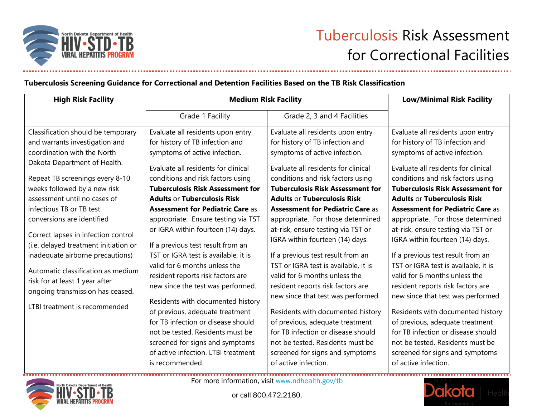

#### **Tuberculosis Screening Guidance for Correctional and Detention Facilities Based on the TB Risk Classification**

| <b>High Risk Facility</b>                                                                                                                                                                                                                                                                                                                                                                                                                                                                                                                                         | <b>Medium Risk Facility</b>                                                                                                                                                                                                                                                                                                                                                                                                                                                                                                                                                                                                                                                                                                                                             |                                                                                                                                                                                                                                                                                                                                                                                                                                                                                                                                                                                                                                                                                                                                                                        | <b>Low/Minimal Risk Facility</b>                                                                                                                                                                                                                                                                                                                                                                                                                                                                                                                                                                                                                                                                                                                                       |
|-------------------------------------------------------------------------------------------------------------------------------------------------------------------------------------------------------------------------------------------------------------------------------------------------------------------------------------------------------------------------------------------------------------------------------------------------------------------------------------------------------------------------------------------------------------------|-------------------------------------------------------------------------------------------------------------------------------------------------------------------------------------------------------------------------------------------------------------------------------------------------------------------------------------------------------------------------------------------------------------------------------------------------------------------------------------------------------------------------------------------------------------------------------------------------------------------------------------------------------------------------------------------------------------------------------------------------------------------------|------------------------------------------------------------------------------------------------------------------------------------------------------------------------------------------------------------------------------------------------------------------------------------------------------------------------------------------------------------------------------------------------------------------------------------------------------------------------------------------------------------------------------------------------------------------------------------------------------------------------------------------------------------------------------------------------------------------------------------------------------------------------|------------------------------------------------------------------------------------------------------------------------------------------------------------------------------------------------------------------------------------------------------------------------------------------------------------------------------------------------------------------------------------------------------------------------------------------------------------------------------------------------------------------------------------------------------------------------------------------------------------------------------------------------------------------------------------------------------------------------------------------------------------------------|
|                                                                                                                                                                                                                                                                                                                                                                                                                                                                                                                                                                   | Grade 1 Facility                                                                                                                                                                                                                                                                                                                                                                                                                                                                                                                                                                                                                                                                                                                                                        | Grade 2, 3 and 4 Facilities                                                                                                                                                                                                                                                                                                                                                                                                                                                                                                                                                                                                                                                                                                                                            |                                                                                                                                                                                                                                                                                                                                                                                                                                                                                                                                                                                                                                                                                                                                                                        |
| Classification should be temporary<br>and warrants investigation and<br>coordination with the North<br>Dakota Department of Health.<br>Repeat TB screenings every 8-10<br>weeks followed by a new risk<br>assessment until no cases of<br>infectious TB or TB test<br>conversions are identified<br>Correct lapses in infection control<br>(i.e. delayed treatment initiation or<br>inadequate airborne precautions)<br>Automatic classification as medium<br>risk for at least 1 year after<br>ongoing transmission has ceased.<br>LTBI treatment is recommended | Evaluate all residents upon entry<br>for history of TB infection and<br>symptoms of active infection.<br>Evaluate all residents for clinical<br>conditions and risk factors using<br><b>Tuberculosis Risk Assessment for</b><br><b>Adults or Tuberculosis Risk</b><br><b>Assessment for Pediatric Care as</b><br>appropriate. Ensure testing via TST<br>or IGRA within fourteen (14) days.<br>If a previous test result from an<br>TST or IGRA test is available, it is<br>valid for 6 months unless the<br>resident reports risk factors are<br>new since the test was performed.<br>Residents with documented history<br>of previous, adequate treatment<br>for TB infection or disease should<br>not be tested. Residents must be<br>screened for signs and symptoms | Evaluate all residents upon entry<br>for history of TB infection and<br>symptoms of active infection.<br>Evaluate all residents for clinical<br>conditions and risk factors using<br><b>Tuberculosis Risk Assessment for</b><br><b>Adults or Tuberculosis Risk</b><br><b>Assessment for Pediatric Care as</b><br>appropriate. For those determined<br>at-risk, ensure testing via TST or<br>IGRA within fourteen (14) days.<br>If a previous test result from an<br>TST or IGRA test is available, it is<br>valid for 6 months unless the<br>resident reports risk factors are<br>new since that test was performed.<br>Residents with documented history<br>of previous, adequate treatment<br>for TB infection or disease should<br>not be tested. Residents must be | Evaluate all residents upon entry<br>for history of TB infection and<br>symptoms of active infection.<br>Evaluate all residents for clinical<br>conditions and risk factors using<br><b>Tuberculosis Risk Assessment for</b><br><b>Adults or Tuberculosis Risk</b><br><b>Assessment for Pediatric Care as</b><br>appropriate. For those determined<br>at-risk, ensure testing via TST or<br>IGRA within fourteen (14) days.<br>If a previous test result from an<br>TST or IGRA test is available, it is<br>valid for 6 months unless the<br>resident reports risk factors are<br>new since that test was performed.<br>Residents with documented history<br>of previous, adequate treatment<br>for TB infection or disease should<br>not be tested. Residents must be |
|                                                                                                                                                                                                                                                                                                                                                                                                                                                                                                                                                                   | of active infection. LTBI treatment<br>is recommended.                                                                                                                                                                                                                                                                                                                                                                                                                                                                                                                                                                                                                                                                                                                  | screened for signs and symptoms<br>of active infection.                                                                                                                                                                                                                                                                                                                                                                                                                                                                                                                                                                                                                                                                                                                | screened for signs and symptoms<br>of active infection.                                                                                                                                                                                                                                                                                                                                                                                                                                                                                                                                                                                                                                                                                                                |



For more information, visit [www.ndhealth.gov/tb](file:///C:/Users/djpritschet/AppData/Local/Microsoft/Windows/INetCache/Content.Outlook/89KSDLRE/www.ndhealth.gov/tb)